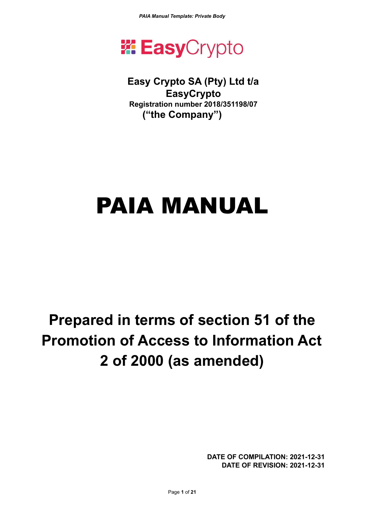

## **Easy Crypto SA (Pty) Ltd t/a EasyCrypto Registration number 2018/351198/07 ("the Company")**

# PAIA MANUAL

## **Prepared in terms of section 51 of the Promotion of Access to Information Act 2 of 2000 (as amended)**

**DATE OF COMPILATION: 2021-12-31 DATE OF REVISION: 2021-12-31**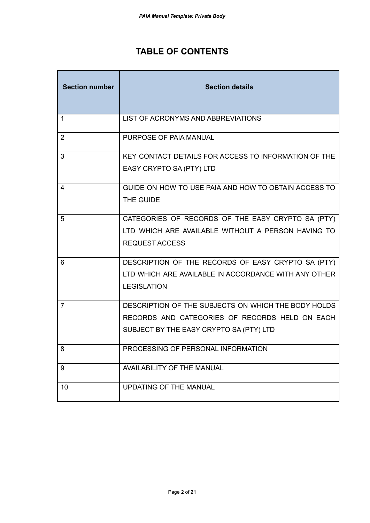## **TABLE OF CONTENTS**

| <b>Section number</b> | <b>Section details</b>                               |
|-----------------------|------------------------------------------------------|
| $\mathbf{1}$          | LIST OF ACRONYMS AND ABBREVIATIONS                   |
| $\overline{2}$        | PURPOSE OF PAIA MANUAL                               |
| 3                     | KEY CONTACT DETAILS FOR ACCESS TO INFORMATION OF THE |
|                       | EASY CRYPTO SA (PTY) LTD                             |
| 4                     | GUIDE ON HOW TO USE PAIA AND HOW TO OBTAIN ACCESS TO |
|                       | THE GUIDE                                            |
| 5                     | CATEGORIES OF RECORDS OF THE EASY CRYPTO SA (PTY)    |
|                       | LTD WHICH ARE AVAILABLE WITHOUT A PERSON HAVING TO   |
|                       | <b>REQUEST ACCESS</b>                                |
| 6                     | DESCRIPTION OF THE RECORDS OF EASY CRYPTO SA (PTY)   |
|                       | LTD WHICH ARE AVAILABLE IN ACCORDANCE WITH ANY OTHER |
|                       | <b>LEGISLATION</b>                                   |
| $\overline{7}$        | DESCRIPTION OF THE SUBJECTS ON WHICH THE BODY HOLDS  |
|                       | RECORDS AND CATEGORIES OF RECORDS HELD ON EACH       |
|                       | SUBJECT BY THE EASY CRYPTO SA (PTY) LTD              |
| 8                     | PROCESSING OF PERSONAL INFORMATION                   |
| 9                     | <b>AVAILABILITY OF THE MANUAL</b>                    |
| 10                    | <b>UPDATING OF THE MANUAL</b>                        |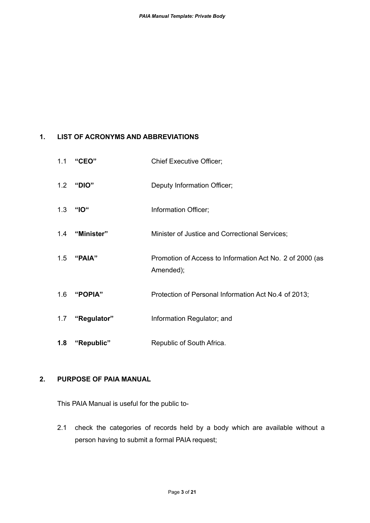#### **1. LIST OF ACRONYMS AND ABBREVIATIONS**

| 1.1 | "CEO"          | <b>Chief Executive Officer;</b>                                       |
|-----|----------------|-----------------------------------------------------------------------|
|     | 1.2 "DIO"      | Deputy Information Officer;                                           |
| 1.3 | "IO"           | Information Officer;                                                  |
|     | 1.4 "Minister" | Minister of Justice and Correctional Services;                        |
| 1.5 | "PAIA"         | Promotion of Access to Information Act No. 2 of 2000 (as<br>Amended); |
| 1.6 | "POPIA"        | Protection of Personal Information Act No.4 of 2013;                  |
| 1.7 | "Regulator"    | Information Regulator; and                                            |
| 1.8 | "Republic"     | Republic of South Africa.                                             |

#### **2. PURPOSE OF PAIA MANUAL**

This PAIA Manual is useful for the public to-

2.1 check the categories of records held by a body which are available without a person having to submit a formal PAIA request;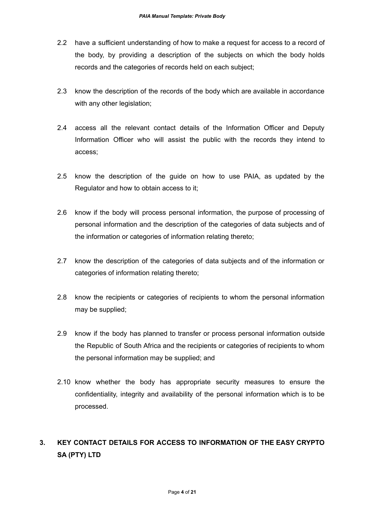- 2.2 have a sufficient understanding of how to make a request for access to a record of the body, by providing a description of the subjects on which the body holds records and the categories of records held on each subject;
- 2.3 know the description of the records of the body which are available in accordance with any other legislation;
- 2.4 access all the relevant contact details of the Information Officer and Deputy Information Officer who will assist the public with the records they intend to access;
- 2.5 know the description of the guide on how to use PAIA, as updated by the Regulator and how to obtain access to it;
- 2.6 know if the body will process personal information, the purpose of processing of personal information and the description of the categories of data subjects and of the information or categories of information relating thereto;
- 2.7 know the description of the categories of data subjects and of the information or categories of information relating thereto;
- 2.8 know the recipients or categories of recipients to whom the personal information may be supplied;
- 2.9 know if the body has planned to transfer or process personal information outside the Republic of South Africa and the recipients or categories of recipients to whom the personal information may be supplied; and
- 2.10 know whether the body has appropriate security measures to ensure the confidentiality, integrity and availability of the personal information which is to be processed.

## **3. KEY CONTACT DETAILS FOR ACCESS TO INFORMATION OF THE EASY CRYPTO SA (PTY) LTD**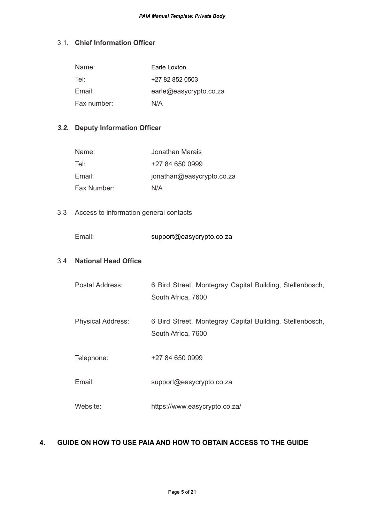#### 3.1. **Chief Information Officer**

| Name:       | Earle Loxton           |
|-------------|------------------------|
| Tel:        | +27 82 852 0503        |
| Email:      | earle@easycrypto.co.za |
| Fax number: | N/A                    |

#### *3.2.* **Deputy Information Officer**

| Name:       | Jonathan Marais           |
|-------------|---------------------------|
| Tel:        | $+27846500999$            |
| Email:      | jonathan@easycrypto.co.za |
| Fax Number: | N/A                       |

#### 3.3 Access to information general contacts

Email: support@easycrypto.co.za

#### 3.4 **National Head Office**

| Postal Address: | 6 Bird Street, Montegray Capital Building, Stellenbosch, |
|-----------------|----------------------------------------------------------|
|                 | South Africa, 7600                                       |

Physical Address: 6 Bird Street, Montegray Capital Building, Stellenbosch, South Africa, 7600

Telephone: +27 84 650 0999

Email: support@easycrypto.co.za

Website: https://www.easycrypto.co.za/

#### **4. GUIDE ON HOW TO USE PAIA AND HOW TO OBTAIN ACCESS TO THE GUIDE**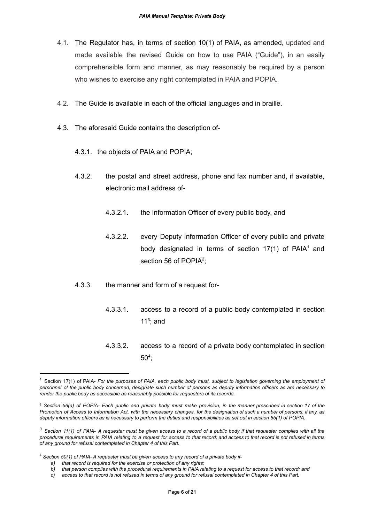- 4.1. The Regulator has, in terms of section 10(1) of PAIA, as amended, updated and made available the revised Guide on how to use PAIA ("Guide"), in an easily comprehensible form and manner, as may reasonably be required by a person who wishes to exercise any right contemplated in PAIA and POPIA.
- 4.2. The Guide is available in each of the official languages and in braille.
- 4.3. The aforesaid Guide contains the description of-
	- 4.3.1. the objects of PAIA and POPIA;
	- 4.3.2. the postal and street address, phone and fax number and, if available, electronic mail address of-
		- 4.3.2.1. the Information Officer of every public body, and
		- 4.3.2.2. every Deputy Information Officer of every public and private body designated in terms of section  $17(1)$  of PAIA<sup>1</sup> and section 56 of POPIA<sup>2</sup>;
	- 4.3.3. the manner and form of a request for-
		- 4.3.3.1. access to a record of a public body contemplated in section 11 $3$ ; and
		- 4.3.3.2. access to a record of a private body contemplated in section  $50<sup>4</sup>$ ;

Section 17(1) of PAIA- For the purposes of PAIA, each public body must, subject to legislation governing the employment of personnel of the public body concerned, designate such number of persons as deputy information officers as are necessary to *render the public body as accessible as reasonably possible for requesters of its records.*

<sup>&</sup>lt;sup>2</sup> Section 56(a) of POPIA- Each public and private body must make provision, in the manner prescribed in section 17 of the Promotion of Access to Information Act, with the necessary changes, for the designation of such a number of persons, if any, as deputy information officers as is necessary to perform the duties and responsibilities as set out in section 55(1) of POPIA.

 $3$  Section 11(1) of PAIA- A requester must be given access to a record of a public body if that requester complies with all the procedural requirements in PAIA relating to a request for access to that record; and access to that record is not refused in terms *of any ground for refusal contemplated in Chapter 4 of this Part.*

<sup>4</sup> *Section 50(1) of PAIA- A requester must be given access to any record of a private body if-*

*a) that record is required for the exercise or protection of any rights;*

b) that person complies with the procedural requirements in PAIA relating to a request for access to that record; and

c) access to that record is not refused in terms of any ground for refusal contemplated in Chapter 4 of this Part.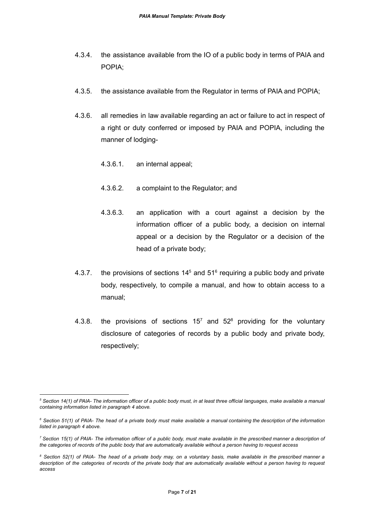- 4.3.4. the assistance available from the IO of a public body in terms of PAIA and POPIA;
- 4.3.5. the assistance available from the Regulator in terms of PAIA and POPIA;
- 4.3.6. all remedies in law available regarding an act or failure to act in respect of a right or duty conferred or imposed by PAIA and POPIA, including the manner of lodging-
	- 4.3.6.1. an internal appeal;
	- 4.3.6.2. a complaint to the Regulator; and
	- 4.3.6.3. an application with a court against a decision by the information officer of a public body, a decision on internal appeal or a decision by the Regulator or a decision of the head of a private body;
- 4.3.7. the provisions of sections  $14<sup>5</sup>$  and  $51<sup>6</sup>$  requiring a public body and private body, respectively, to compile a manual, and how to obtain access to a manual;
- 4.3.8. the provisions of sections 15<sup>7</sup> and 52<sup>8</sup> providing for the voluntary disclosure of categories of records by a public body and private body, respectively;

<sup>&</sup>lt;sup>5</sup> Section 14(1) of PAIA- The information officer of a public body must, in at least three official languages, make available a manual *containing information listed in paragraph 4 above.*

<sup>&</sup>lt;sup>6</sup> Section 51(1) of PAIA- The head of a private body must make available a manual containing the description of the information *listed in paragraph 4 above.*

<sup>7</sup> Section 15(1) of PAIA- The information officer of a public body, must make available in the prescribed manner a description of the categories of records of the public body that are automatically available without a person having to request access

<sup>&</sup>lt;sup>8</sup> Section 52(1) of PAIA- The head of a private body may, on a voluntary basis, make available in the prescribed manner a description of the categories of records of the private body that are automatically available without a person having to request *access*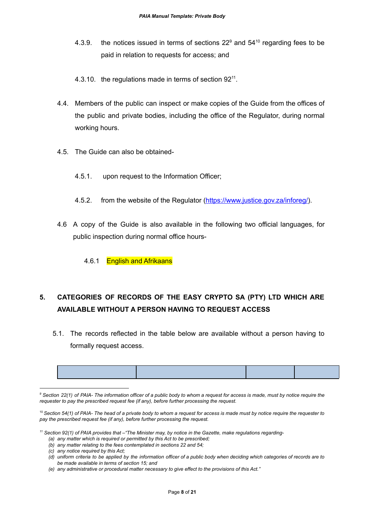- 4.3.9. the notices issued in terms of sections  $22<sup>9</sup>$  and  $54<sup>10</sup>$  regarding fees to be paid in relation to requests for access; and
- 4.3.10. the regulations made in terms of section  $92<sup>11</sup>$ .
- 4.4. Members of the public can inspect or make copies of the Guide from the offices of the public and private bodies, including the office of the Regulator, during normal working hours.
- 4.5. The Guide can also be obtained-
	- 4.5.1. upon request to the Information Officer;
	- 4.5.2. from the website of the Regulator [\(https://www.justice.gov.za/inforeg/](https://www.justice.gov.za/inforeg/)).
- 4.6 A copy of the Guide is also available in the following two official languages, for public inspection during normal office hours-
	- 4.6.1 English and Afrikaans

## **5. CATEGORIES OF RECORDS OF THE EASY CRYPTO SA (PTY) LTD WHICH ARE AVAILABLE WITHOUT A PERSON HAVING TO REQUEST ACCESS**

5.1. The records reflected in the table below are available without a person having to formally request access.

<sup>&</sup>lt;sup>9</sup> Section 22(1) of PAIA- The information officer of a public body to whom a request for access is made, must by notice require the *requester to pay the prescribed request fee (if any), before further processing the request.*

 $10$  Section 54(1) of PAIA- The head of a private body to whom a request for access is made must by notice require the requester to *pay the prescribed request fee (if any), before further processing the request.*

 $11$  Section 92(1) of PAIA provides that  $-$  The Minister may, by notice in the Gazette, make regulations regarding-

*<sup>(</sup>a) any matter which is required or permitted by this Act to be prescribed;*

*<sup>(</sup>b) any matter relating to the fees contemplated in sections 22 and 54;*

*<sup>(</sup>c) any notice required by this Act;*

<sup>(</sup>d) uniform criteria to be applied by the information officer of a public body when deciding which categories of records are to *be made available in terms of section 15; and*

*<sup>(</sup>e) any administrative or procedural matter necessary to give effect to the provisions of this Act."*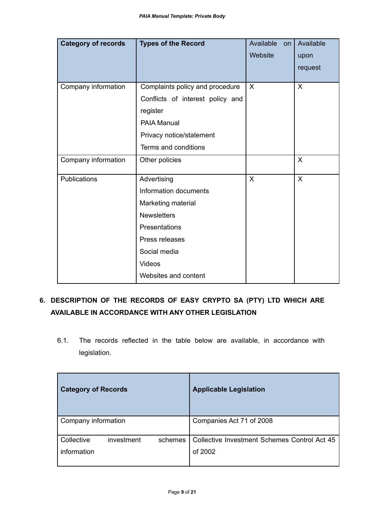| <b>Category of records</b> | <b>Types of the Record</b>       | Available<br>on<br>Website | Available<br>upon |
|----------------------------|----------------------------------|----------------------------|-------------------|
|                            |                                  |                            | request           |
| Company information        | Complaints policy and procedure  | $\mathsf{X}$               | $\sf X$           |
|                            | Conflicts of interest policy and |                            |                   |
|                            | register                         |                            |                   |
|                            | <b>PAIA Manual</b>               |                            |                   |
|                            | Privacy notice/statement         |                            |                   |
|                            | Terms and conditions             |                            |                   |
| Company information        | Other policies                   |                            | $\sf X$           |
| Publications               | Advertising                      | $\mathsf{X}$               | $\sf X$           |
|                            | Information documents            |                            |                   |
|                            | Marketing material               |                            |                   |
|                            | <b>Newsletters</b>               |                            |                   |
|                            | Presentations                    |                            |                   |
|                            | Press releases                   |                            |                   |
|                            | Social media                     |                            |                   |
|                            | <b>Videos</b>                    |                            |                   |
|                            | Websites and content             |                            |                   |

## **6. DESCRIPTION OF THE RECORDS OF EASY CRYPTO SA (PTY) LTD WHICH ARE AVAILABLE IN ACCORDANCE WITH ANY OTHER LEGISLATION**

6.1. The records reflected in the table below are available, in accordance with legislation.

| <b>Category of Records</b> |            |         | <b>Applicable Legislation</b>                           |
|----------------------------|------------|---------|---------------------------------------------------------|
| Company information        |            |         | Companies Act 71 of 2008                                |
| Collective<br>information  | investment | schemes | Collective Investment Schemes Control Act 45<br>of 2002 |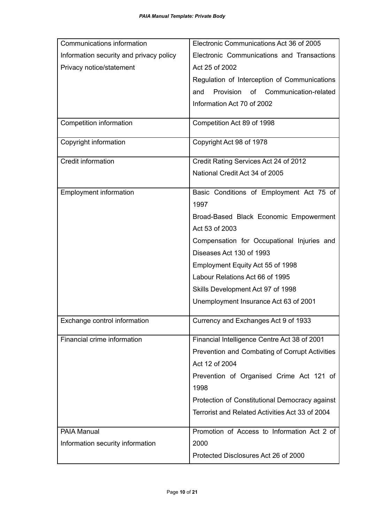| Communications information              | Electronic Communications Act 36 of 2005               |  |
|-----------------------------------------|--------------------------------------------------------|--|
| Information security and privacy policy | Electronic Communications and Transactions             |  |
| Privacy notice/statement                | Act 25 of 2002                                         |  |
|                                         | Regulation of Interception of Communications           |  |
|                                         | Provision<br>Communication-related<br><b>of</b><br>and |  |
|                                         | Information Act 70 of 2002                             |  |
| <b>Competition information</b>          | Competition Act 89 of 1998                             |  |
| Copyright information                   | Copyright Act 98 of 1978                               |  |
| Credit information                      | Credit Rating Services Act 24 of 2012                  |  |
|                                         | National Credit Act 34 of 2005                         |  |
| <b>Employment information</b>           | Basic Conditions of Employment Act 75 of               |  |
|                                         | 1997                                                   |  |
|                                         | Broad-Based Black Economic Empowerment                 |  |
|                                         | Act 53 of 2003                                         |  |
|                                         | Compensation for Occupational Injuries and             |  |
|                                         | Diseases Act 130 of 1993                               |  |
|                                         | Employment Equity Act 55 of 1998                       |  |
|                                         | Labour Relations Act 66 of 1995                        |  |
|                                         | Skills Development Act 97 of 1998                      |  |
|                                         | Unemployment Insurance Act 63 of 2001                  |  |
| Exchange control information            | Currency and Exchanges Act 9 of 1933                   |  |
| Financial crime information             | Financial Intelligence Centre Act 38 of 2001           |  |
|                                         | Prevention and Combating of Corrupt Activities         |  |
|                                         | Act 12 of 2004                                         |  |
|                                         | Prevention of Organised Crime Act 121 of               |  |
|                                         | 1998                                                   |  |
|                                         | Protection of Constitutional Democracy against         |  |
|                                         | Terrorist and Related Activities Act 33 of 2004        |  |
| PAIA Manual                             | Promotion of Access to Information Act 2 of            |  |
| Information security information        | 2000                                                   |  |
|                                         | Protected Disclosures Act 26 of 2000                   |  |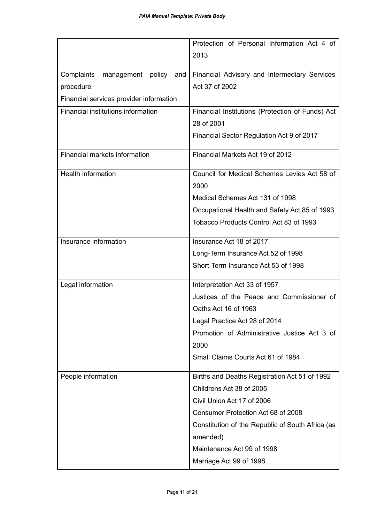|                                                          | Protection of Personal Information Act 4 of                                                                                                                                                                                                                                              |
|----------------------------------------------------------|------------------------------------------------------------------------------------------------------------------------------------------------------------------------------------------------------------------------------------------------------------------------------------------|
|                                                          | 2013                                                                                                                                                                                                                                                                                     |
|                                                          |                                                                                                                                                                                                                                                                                          |
| Complaints<br>policy<br>management<br>and                | Financial Advisory and Intermediary Services                                                                                                                                                                                                                                             |
| procedure                                                | Act 37 of 2002                                                                                                                                                                                                                                                                           |
| Financial services provider information                  |                                                                                                                                                                                                                                                                                          |
|                                                          |                                                                                                                                                                                                                                                                                          |
|                                                          |                                                                                                                                                                                                                                                                                          |
|                                                          |                                                                                                                                                                                                                                                                                          |
| Financial markets information                            | Financial Markets Act 19 of 2012                                                                                                                                                                                                                                                         |
| Health information                                       | Council for Medical Schemes Levies Act 58 of                                                                                                                                                                                                                                             |
|                                                          | 2000                                                                                                                                                                                                                                                                                     |
|                                                          | Medical Schemes Act 131 of 1998                                                                                                                                                                                                                                                          |
|                                                          | Occupational Health and Safety Act 85 of 1993                                                                                                                                                                                                                                            |
|                                                          | Tobacco Products Control Act 83 of 1993                                                                                                                                                                                                                                                  |
| Insurance information                                    | Insurance Act 18 of 2017                                                                                                                                                                                                                                                                 |
|                                                          | Long-Term Insurance Act 52 of 1998                                                                                                                                                                                                                                                       |
|                                                          | Short-Term Insurance Act 53 of 1998                                                                                                                                                                                                                                                      |
| Legal information                                        |                                                                                                                                                                                                                                                                                          |
|                                                          | Justices of the Peace and Commissioner of                                                                                                                                                                                                                                                |
|                                                          | Oaths Act 16 of 1963                                                                                                                                                                                                                                                                     |
|                                                          | Legal Practice Act 28 of 2014                                                                                                                                                                                                                                                            |
|                                                          | Promotion of Administrative Justice Act 3 of                                                                                                                                                                                                                                             |
|                                                          | 2000                                                                                                                                                                                                                                                                                     |
|                                                          | Small Claims Courts Act 61 of 1984                                                                                                                                                                                                                                                       |
|                                                          |                                                                                                                                                                                                                                                                                          |
|                                                          | Childrens Act 38 of 2005                                                                                                                                                                                                                                                                 |
|                                                          | Civil Union Act 17 of 2006                                                                                                                                                                                                                                                               |
|                                                          | Consumer Protection Act 68 of 2008                                                                                                                                                                                                                                                       |
|                                                          |                                                                                                                                                                                                                                                                                          |
|                                                          |                                                                                                                                                                                                                                                                                          |
|                                                          | Maintenance Act 99 of 1998                                                                                                                                                                                                                                                               |
|                                                          |                                                                                                                                                                                                                                                                                          |
| Financial institutions information<br>People information | Financial Institutions (Protection of Funds) Act<br>28 of 2001<br>Financial Sector Regulation Act 9 of 2017<br>Interpretation Act 33 of 1957<br>Births and Deaths Registration Act 51 of 1992<br>Constitution of the Republic of South Africa (as<br>amended)<br>Marriage Act 99 of 1998 |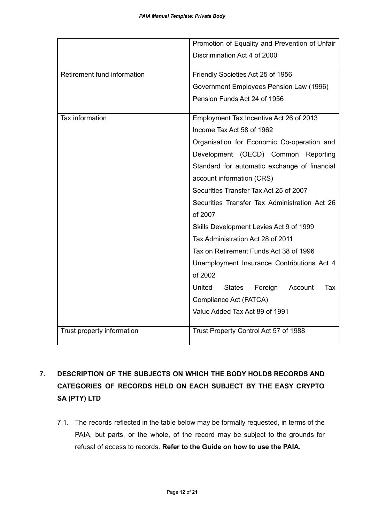|                             | Promotion of Equality and Prevention of Unfair       |
|-----------------------------|------------------------------------------------------|
|                             | Discrimination Act 4 of 2000                         |
|                             |                                                      |
| Retirement fund information | Friendly Societies Act 25 of 1956                    |
|                             | Government Employees Pension Law (1996)              |
|                             | Pension Funds Act 24 of 1956                         |
| Tax information             | Employment Tax Incentive Act 26 of 2013              |
|                             | Income Tax Act 58 of 1962                            |
|                             | Organisation for Economic Co-operation and           |
|                             | Development (OECD) Common Reporting                  |
|                             | Standard for automatic exchange of financial         |
|                             | account information (CRS)                            |
|                             | Securities Transfer Tax Act 25 of 2007               |
|                             | Securities Transfer Tax Administration Act 26        |
|                             | of 2007                                              |
|                             | Skills Development Levies Act 9 of 1999              |
|                             | Tax Administration Act 28 of 2011                    |
|                             | Tax on Retirement Funds Act 38 of 1996               |
|                             | Unemployment Insurance Contributions Act 4           |
|                             | of 2002                                              |
|                             | United<br><b>States</b><br>Foreign<br>Account<br>Tax |
|                             | Compliance Act (FATCA)                               |
|                             | Value Added Tax Act 89 of 1991                       |
| Trust property information  | Trust Property Control Act 57 of 1988                |
|                             |                                                      |

## **7. DESCRIPTION OF THE SUBJECTS ON WHICH THE BODY HOLDS RECORDS AND CATEGORIES OF RECORDS HELD ON EACH SUBJECT BY THE EASY CRYPTO SA (PTY) LTD**

7.1. The records reflected in the table below may be formally requested, in terms of the PAIA, but parts, or the whole, of the record may be subject to the grounds for refusal of access to records. **Refer to the Guide on how to use the PAIA.**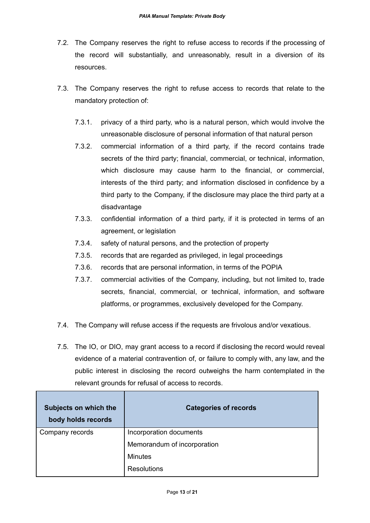- 7.2. The Company reserves the right to refuse access to records if the processing of the record will substantially, and unreasonably, result in a diversion of its resources.
- 7.3. The Company reserves the right to refuse access to records that relate to the mandatory protection of:
	- 7.3.1. privacy of a third party, who is a natural person, which would involve the unreasonable disclosure of personal information of that natural person
	- 7.3.2. commercial information of a third party, if the record contains trade secrets of the third party; financial, commercial, or technical, information, which disclosure may cause harm to the financial, or commercial, interests of the third party; and information disclosed in confidence by a third party to the Company, if the disclosure may place the third party at a disadvantage
	- 7.3.3. confidential information of a third party, if it is protected in terms of an agreement, or legislation
	- 7.3.4. safety of natural persons, and the protection of property
	- 7.3.5. records that are regarded as privileged, in legal proceedings
	- 7.3.6. records that are personal information, in terms of the POPIA
	- 7.3.7. commercial activities of the Company, including, but not limited to, trade secrets, financial, commercial, or technical, information, and software platforms, or programmes, exclusively developed for the Company.
- 7.4. The Company will refuse access if the requests are frivolous and/or vexatious.
- 7.5. The IO, or DIO, may grant access to a record if disclosing the record would reveal evidence of a material contravention of, or failure to comply with, any law, and the public interest in disclosing the record outweighs the harm contemplated in the relevant grounds for refusal of access to records.

| Subjects on which the<br>body holds records | <b>Categories of records</b> |  |
|---------------------------------------------|------------------------------|--|
| Company records                             | Incorporation documents      |  |
|                                             | Memorandum of incorporation  |  |
|                                             | <b>Minutes</b>               |  |
|                                             | <b>Resolutions</b>           |  |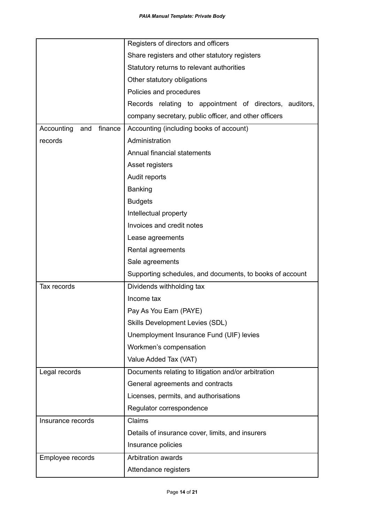|                              | Registers of directors and officers                      |  |  |
|------------------------------|----------------------------------------------------------|--|--|
|                              | Share registers and other statutory registers            |  |  |
|                              | Statutory returns to relevant authorities                |  |  |
|                              | Other statutory obligations                              |  |  |
|                              | Policies and procedures                                  |  |  |
|                              | Records relating to appointment of directors, auditors,  |  |  |
|                              | company secretary, public officer, and other officers    |  |  |
| Accounting<br>finance<br>and | Accounting (including books of account)                  |  |  |
| records                      | Administration                                           |  |  |
|                              | Annual financial statements                              |  |  |
|                              | Asset registers                                          |  |  |
|                              | Audit reports                                            |  |  |
|                              | Banking                                                  |  |  |
|                              | <b>Budgets</b>                                           |  |  |
|                              | Intellectual property                                    |  |  |
|                              | Invoices and credit notes                                |  |  |
|                              | Lease agreements                                         |  |  |
|                              | Rental agreements                                        |  |  |
|                              | Sale agreements                                          |  |  |
|                              | Supporting schedules, and documents, to books of account |  |  |
| Tax records                  | Dividends withholding tax                                |  |  |
|                              | Income tax                                               |  |  |
|                              | Pay As You Earn (PAYE)                                   |  |  |
|                              | <b>Skills Development Levies (SDL)</b>                   |  |  |
|                              | Unemployment Insurance Fund (UIF) levies                 |  |  |
|                              | Workmen's compensation                                   |  |  |
|                              | Value Added Tax (VAT)                                    |  |  |
| Legal records                | Documents relating to litigation and/or arbitration      |  |  |
|                              | General agreements and contracts                         |  |  |
|                              | Licenses, permits, and authorisations                    |  |  |
|                              | Regulator correspondence                                 |  |  |
| Insurance records            | Claims                                                   |  |  |
|                              | Details of insurance cover, limits, and insurers         |  |  |
|                              | Insurance policies                                       |  |  |
| Employee records             | Arbitration awards                                       |  |  |
|                              | Attendance registers                                     |  |  |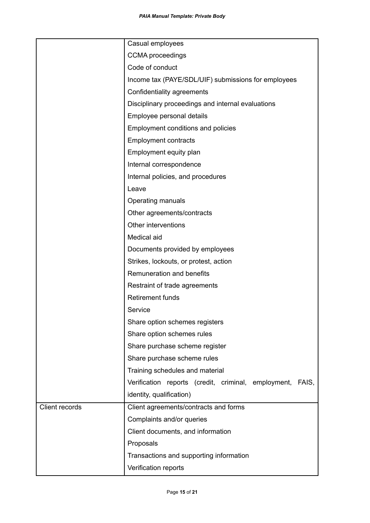|                | Casual employees                                             |  |  |
|----------------|--------------------------------------------------------------|--|--|
|                | <b>CCMA</b> proceedings                                      |  |  |
|                | Code of conduct                                              |  |  |
|                | Income tax (PAYE/SDL/UIF) submissions for employees          |  |  |
|                | Confidentiality agreements                                   |  |  |
|                | Disciplinary proceedings and internal evaluations            |  |  |
|                | Employee personal details                                    |  |  |
|                | Employment conditions and policies                           |  |  |
|                | <b>Employment contracts</b>                                  |  |  |
|                | Employment equity plan                                       |  |  |
|                | Internal correspondence                                      |  |  |
|                | Internal policies, and procedures                            |  |  |
|                | Leave                                                        |  |  |
|                | Operating manuals                                            |  |  |
|                | Other agreements/contracts                                   |  |  |
|                | Other interventions                                          |  |  |
|                | Medical aid                                                  |  |  |
|                | Documents provided by employees                              |  |  |
|                | Strikes, lockouts, or protest, action                        |  |  |
|                | Remuneration and benefits                                    |  |  |
|                | Restraint of trade agreements                                |  |  |
|                | <b>Retirement funds</b>                                      |  |  |
|                | Service                                                      |  |  |
|                | Share option schemes registers                               |  |  |
|                | Share option schemes rules                                   |  |  |
|                | Share purchase scheme register                               |  |  |
|                | Share purchase scheme rules                                  |  |  |
|                | Training schedules and material                              |  |  |
|                | Verification reports (credit, criminal, employment,<br>FAIS, |  |  |
|                | identity, qualification)                                     |  |  |
| Client records | Client agreements/contracts and forms                        |  |  |
|                | Complaints and/or queries                                    |  |  |
|                | Client documents, and information                            |  |  |
|                | Proposals                                                    |  |  |
|                | Transactions and supporting information                      |  |  |
|                | Verification reports                                         |  |  |
|                |                                                              |  |  |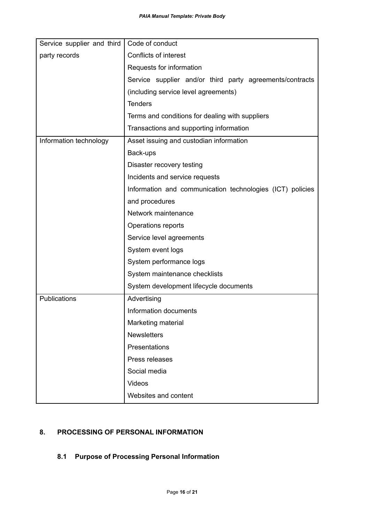| Service supplier and third | Code of conduct                                           |  |
|----------------------------|-----------------------------------------------------------|--|
| party records              | Conflicts of interest                                     |  |
|                            | Requests for information                                  |  |
|                            | Service supplier and/or third party agreements/contracts  |  |
|                            | (including service level agreements)                      |  |
|                            | <b>Tenders</b>                                            |  |
|                            | Terms and conditions for dealing with suppliers           |  |
|                            | Transactions and supporting information                   |  |
| Information technology     | Asset issuing and custodian information                   |  |
|                            | Back-ups                                                  |  |
|                            | Disaster recovery testing                                 |  |
|                            | Incidents and service requests                            |  |
|                            | Information and communication technologies (ICT) policies |  |
|                            | and procedures                                            |  |
|                            | Network maintenance                                       |  |
|                            | Operations reports                                        |  |
|                            | Service level agreements                                  |  |
|                            | System event logs                                         |  |
|                            | System performance logs                                   |  |
|                            | System maintenance checklists                             |  |
|                            | System development lifecycle documents                    |  |
| Publications               | Advertising                                               |  |
|                            | Information documents                                     |  |
|                            | Marketing material                                        |  |
|                            | <b>Newsletters</b>                                        |  |
|                            | Presentations                                             |  |
|                            | Press releases                                            |  |
|                            | Social media                                              |  |
|                            | Videos                                                    |  |
|                            | Websites and content                                      |  |

### **8. PROCESSING OF PERSONAL INFORMATION**

## **8.1 Purpose of Processing Personal Information**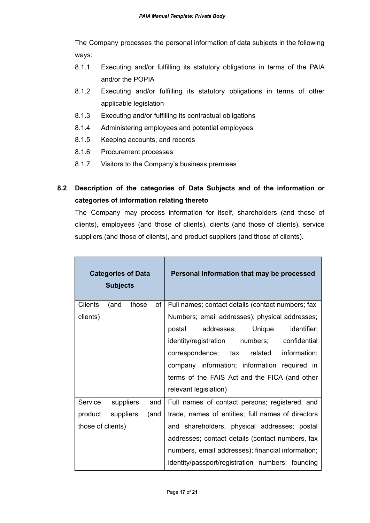The Company processes the personal information of data subjects in the following ways:

- 8.1.1 Executing and/or fulfilling its statutory obligations in terms of the PAIA and/or the POPIA
- 8.1.2 Executing and/or fulfilling its statutory obligations in terms of other applicable legislation
- 8.1.3 Executing and/or fulfilling its contractual obligations
- 8.1.4 Administering employees and potential employees
- 8.1.5 Keeping accounts, and records
- 8.1.6 Procurement processes
- 8.1.7 Visitors to the Company's business premises

## **8.2 Description of the categories of Data Subjects and of the information or categories of information relating thereto**

The Company may process information for itself, shareholders (and those of clients), employees (and those of clients), clients (and those of clients), service suppliers (and those of clients), and product suppliers (and those of clients).

| <b>Categories of Data</b><br><b>Subjects</b> |                   |             | Personal Information that may be processed        |
|----------------------------------------------|-------------------|-------------|---------------------------------------------------|
| <b>Clients</b>                               | (and              | those<br>of | Full names; contact details (contact numbers; fax |
| clients)                                     |                   |             | Numbers; email addresses); physical addresses;    |
|                                              |                   |             | postal addresses; Unique<br>identifier;           |
|                                              |                   |             | identity/registration numbers; confidential       |
|                                              |                   |             | information;<br>correspondence; tax related       |
|                                              |                   |             | company information; information required in      |
|                                              |                   |             | terms of the FAIS Act and the FICA (and other     |
|                                              |                   |             | relevant legislation)                             |
| Service                                      | suppliers         | and         | Full names of contact persons; registered, and    |
|                                              | product suppliers | (and        | trade, names of entities; full names of directors |
| those of clients)                            |                   |             | and shareholders, physical addresses; postal      |
|                                              |                   |             | addresses; contact details (contact numbers, fax  |
|                                              |                   |             | numbers, email addresses); financial information; |
|                                              |                   |             | identity/passport/registration numbers; founding  |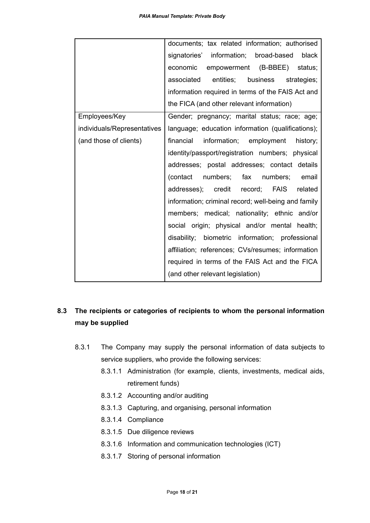|                             | documents; tax related information; authorised      |
|-----------------------------|-----------------------------------------------------|
|                             | signatories' information; broad-based<br>black      |
|                             | economic<br>empowerment (B-BBEE) status;            |
|                             | entities; business strategies;<br>associated        |
|                             | information required in terms of the FAIS Act and   |
|                             | the FICA (and other relevant information)           |
| Employees/Key               | Gender; pregnancy; marital status; race; age;       |
| individuals/Representatives | language; education information (qualifications);   |
| (and those of clients)      | information; employment history;<br>financial       |
|                             | identity/passport/registration numbers; physical    |
|                             | addresses; postal addresses; contact details        |
|                             | (contact numbers; fax numbers; email                |
|                             | addresses); credit record; FAIS related             |
|                             | information; criminal record; well-being and family |
|                             | members; medical; nationality; ethnic and/or        |
|                             | social origin; physical and/or mental health;       |
|                             | disability; biometric information; professional     |
|                             | affiliation; references; CVs/resumes; information   |
|                             | required in terms of the FAIS Act and the FICA      |
|                             | (and other relevant legislation)                    |

## **8.3 The recipients or categories of recipients to whom the personal information may be supplied**

- 8.3.1 The Company may supply the personal information of data subjects to service suppliers, who provide the following services:
	- 8.3.1.1 Administration (for example, clients, investments, medical aids, retirement funds)
	- 8.3.1.2 Accounting and/or auditing
	- 8.3.1.3 Capturing, and organising, personal information
	- 8.3.1.4 Compliance
	- 8.3.1.5 Due diligence reviews
	- 8.3.1.6 Information and communication technologies (ICT)
	- 8.3.1.7 Storing of personal information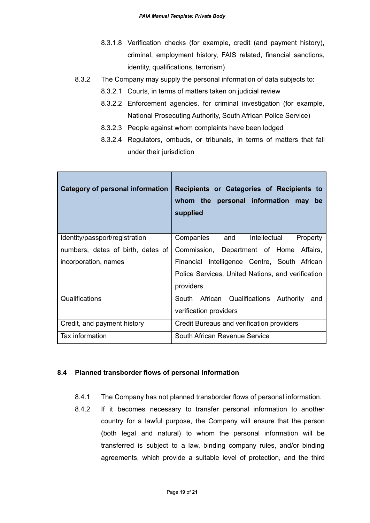- 8.3.1.8 Verification checks (for example, credit (and payment history), criminal, employment history, FAIS related, financial sanctions, identity, qualifications, terrorism)
- 8.3.2 The Company may supply the personal information of data subjects to:
	- 8.3.2.1 Courts, in terms of matters taken on judicial review
	- 8.3.2.2 Enforcement agencies, for criminal investigation (for example, National Prosecuting Authority, South African Police Service)
	- 8.3.2.3 People against whom complaints have been lodged
	- 8.3.2.4 Regulators, ombuds, or tribunals, in terms of matters that fall under their jurisdiction

| <b>Category of personal information</b> | Recipients or Categories of Recipients to<br>whom the personal information may<br>be<br>supplied |
|-----------------------------------------|--------------------------------------------------------------------------------------------------|
| Identity/passport/registration          | Companies and<br>Intellectual<br>Property                                                        |
| numbers, dates of birth, dates of       | Commission, Department of Home Affairs,                                                          |
| incorporation, names                    | Financial Intelligence Centre, South African                                                     |
|                                         | Police Services, United Nations, and verification                                                |
|                                         | providers                                                                                        |
| Qualifications                          | South<br>African<br>Qualifications Authority<br>and                                              |
|                                         | verification providers                                                                           |
| Credit, and payment history             | Credit Bureaus and verification providers                                                        |
| Tax information                         | South African Revenue Service                                                                    |

#### **8.4 Planned transborder flows of personal information**

- 8.4.1 The Company has not planned transborder flows of personal information.
- 8.4.2 If it becomes necessary to transfer personal information to another country for a lawful purpose, the Company will ensure that the person (both legal and natural) to whom the personal information will be transferred is subject to a law, binding company rules, and/or binding agreements, which provide a suitable level of protection, and the third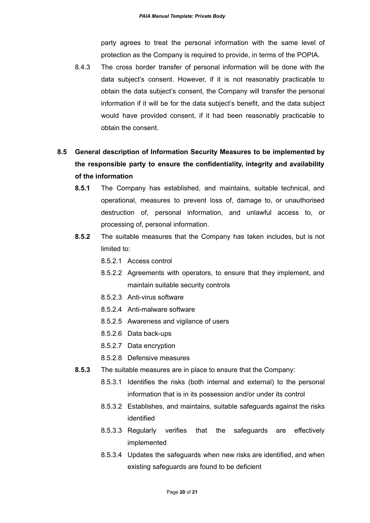party agrees to treat the personal information with the same level of protection as the Company is required to provide, in terms of the POPIA.

8.4.3 The cross border transfer of personal information will be done with the data subject's consent. However, if it is not reasonably practicable to obtain the data subject's consent, the Company will transfer the personal information if it will be for the data subject's benefit, and the data subject would have provided consent, if it had been reasonably practicable to obtain the consent.

## **8.5 General description of Information Security Measures to be implemented by the responsible party to ensure the confidentiality, integrity and availability of the information**

- **8.5.1** The Company has established, and maintains, suitable technical, and operational, measures to prevent loss of, damage to, or unauthorised destruction of, personal information, and unlawful access to, or processing of, personal information.
- **8.5.2** The suitable measures that the Company has taken includes, but is not limited to:
	- 8.5.2.1 Access control
	- 8.5.2.2 Agreements with operators, to ensure that they implement, and maintain suitable security controls
	- 8.5.2.3 Anti-virus software
	- 8.5.2.4 Anti-malware software
	- 8.5.2.5 Awareness and vigilance of users
	- 8.5.2.6 Data back-ups
	- 8.5.2.7 Data encryption
	- 8.5.2.8 Defensive measures
- **8.5.3** The suitable measures are in place to ensure that the Company:
	- 8.5.3.1 Identifies the risks (both internal and external) to the personal information that is in its possession and/or under its control
	- 8.5.3.2 Establishes, and maintains, suitable safeguards against the risks identified
	- 8.5.3.3 Regularly verifies that the safeguards are effectively implemented
	- 8.5.3.4 Updates the safeguards when new risks are identified, and when existing safeguards are found to be deficient